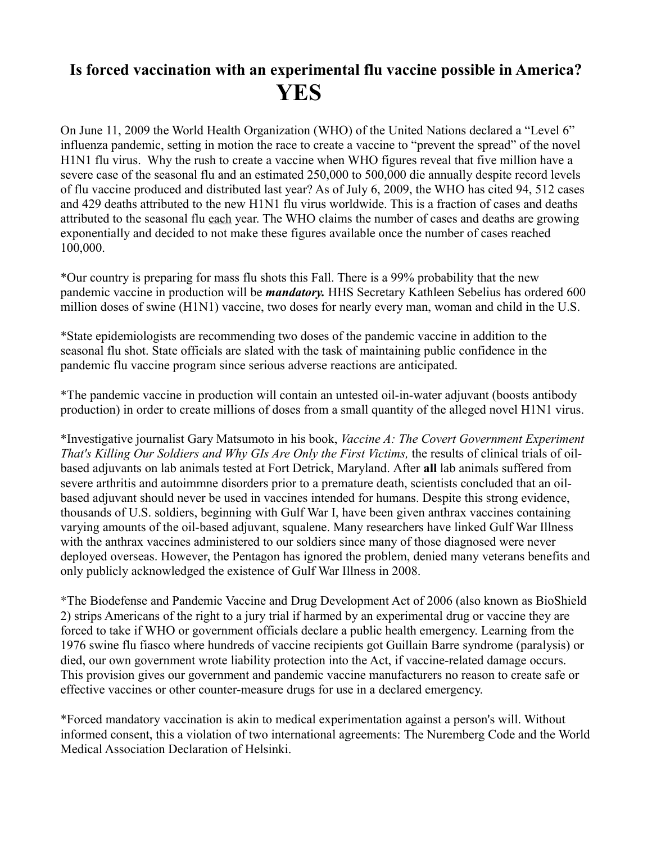## **Is forced vaccination with an experimental flu vaccine possible in America? YES**

On June 11, 2009 the World Health Organization (WHO) of the United Nations declared a "Level 6" influenza pandemic, setting in motion the race to create a vaccine to "prevent the spread" of the novel H1N1 flu virus. Why the rush to create a vaccine when WHO figures reveal that five million have a severe case of the seasonal flu and an estimated 250,000 to 500,000 die annually despite record levels of flu vaccine produced and distributed last year? As of July 6, 2009, the WHO has cited 94, 512 cases and 429 deaths attributed to the new H1N1 flu virus worldwide. This is a fraction of cases and deaths attributed to the seasonal flu each year. The WHO claims the number of cases and deaths are growing exponentially and decided to not make these figures available once the number of cases reached 100,000.

\*Our country is preparing for mass flu shots this Fall. There is a 99% probability that the new pandemic vaccine in production will be *mandatory.* HHS Secretary Kathleen Sebelius has ordered 600 million doses of swine (H1N1) vaccine, two doses for nearly every man, woman and child in the U.S.

\*State epidemiologists are recommending two doses of the pandemic vaccine in addition to the seasonal flu shot. State officials are slated with the task of maintaining public confidence in the pandemic flu vaccine program since serious adverse reactions are anticipated.

\*The pandemic vaccine in production will contain an untested oil-in-water adjuvant (boosts antibody production) in order to create millions of doses from a small quantity of the alleged novel H1N1 virus.

\*Investigative journalist Gary Matsumoto in his book, *Vaccine A: The Covert Government Experiment That's Killing Our Soldiers and Why GIs Are Only the First Victims,* the results of clinical trials of oilbased adjuvants on lab animals tested at Fort Detrick, Maryland. After **all** lab animals suffered from severe arthritis and autoimmne disorders prior to a premature death, scientists concluded that an oilbased adjuvant should never be used in vaccines intended for humans. Despite this strong evidence, thousands of U.S. soldiers, beginning with Gulf War I, have been given anthrax vaccines containing varying amounts of the oil-based adjuvant, squalene. Many researchers have linked Gulf War Illness with the anthrax vaccines administered to our soldiers since many of those diagnosed were never deployed overseas. However, the Pentagon has ignored the problem, denied many veterans benefits and only publicly acknowledged the existence of Gulf War Illness in 2008.

\*The Biodefense and Pandemic Vaccine and Drug Development Act of 2006 (also known as BioShield 2) strips Americans of the right to a jury trial if harmed by an experimental drug or vaccine they are forced to take if WHO or government officials declare a public health emergency. Learning from the 1976 swine flu fiasco where hundreds of vaccine recipients got Guillain Barre syndrome (paralysis) or died, our own government wrote liability protection into the Act, if vaccine-related damage occurs. This provision gives our government and pandemic vaccine manufacturers no reason to create safe or effective vaccines or other counter-measure drugs for use in a declared emergency.

\*Forced mandatory vaccination is akin to medical experimentation against a person's will. Without informed consent, this a violation of two international agreements: The Nuremberg Code and the World Medical Association Declaration of Helsinki.